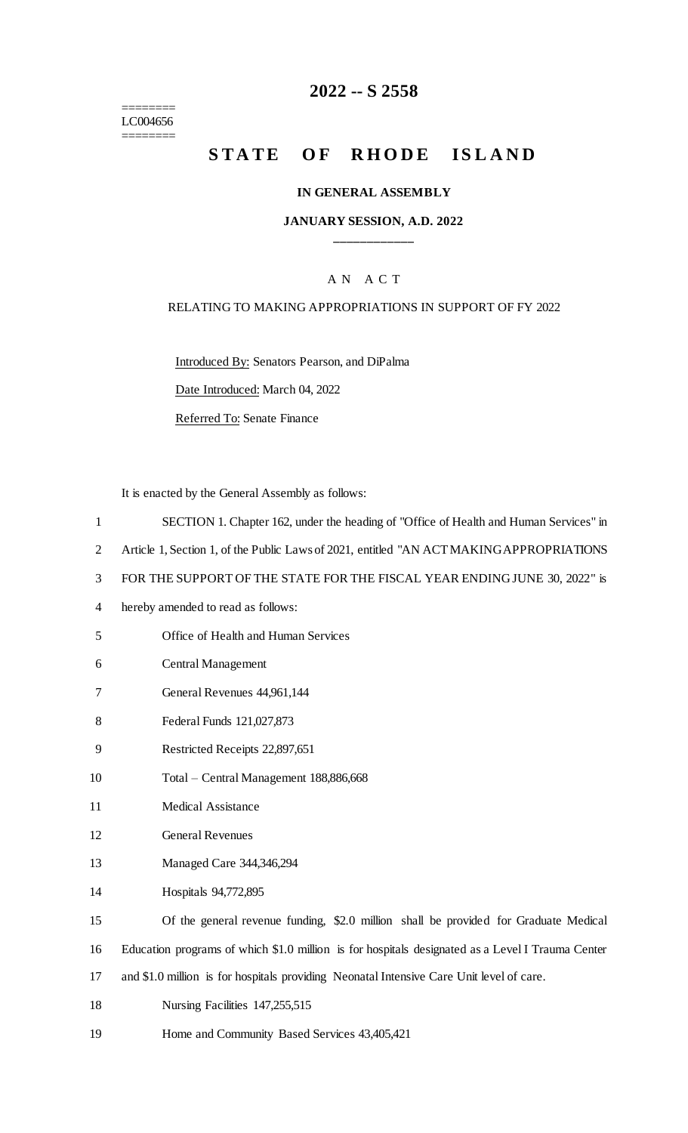======== LC004656 ========

## **2022 -- S 2558**

# **STATE OF RHODE ISLAND**

#### **IN GENERAL ASSEMBLY**

#### **JANUARY SESSION, A.D. 2022 \_\_\_\_\_\_\_\_\_\_\_\_**

#### A N A C T

#### RELATING TO MAKING APPROPRIATIONS IN SUPPORT OF FY 2022

Introduced By: Senators Pearson, and DiPalma

Date Introduced: March 04, 2022

Referred To: Senate Finance

It is enacted by the General Assembly as follows:

- 1 SECTION 1. Chapter 162, under the heading of "Office of Health and Human Services" in
- 2 Article 1, Section 1, of the Public Laws of 2021, entitled "AN ACT MAKING APPROPRIATIONS"
- 3 FOR THE SUPPORT OF THE STATE FOR THE FISCAL YEAR ENDING JUNE 30, 2022" is
- 4 hereby amended to read as follows:
- 5 Office of Health and Human Services
- 6 Central Management
- 7 General Revenues 44,961,144
- 8 Federal Funds 121,027,873
- 9 Restricted Receipts 22,897,651
- 10 Total Central Management 188,886,668
- 11 Medical Assistance
- 12 General Revenues
- 13 Managed Care 344,346,294
- 14 Hospitals 94,772,895
- 15 Of the general revenue funding, \$2.0 million shall be provided for Graduate Medical
- 16 Education programs of which \$1.0 million is for hospitals designated as a Level I Trauma Center
- 17 and \$1.0 million is for hospitals providing Neonatal Intensive Care Unit level of care.
- 18 Nursing Facilities 147,255,515
- 19 Home and Community Based Services 43,405,421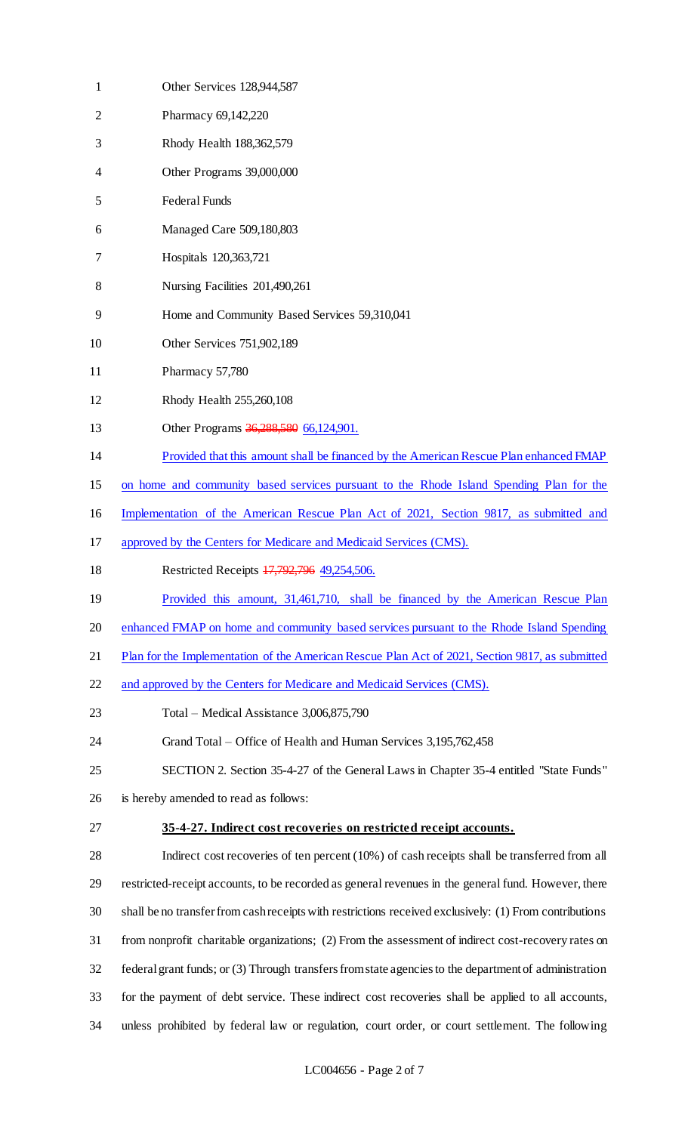| $\mathbf{1}$   | Other Services 128,944,587                                                                             |
|----------------|--------------------------------------------------------------------------------------------------------|
| $\overline{2}$ | Pharmacy 69,142,220                                                                                    |
| 3              | Rhody Health 188,362,579                                                                               |
| 4              | Other Programs 39,000,000                                                                              |
| 5              | Federal Funds                                                                                          |
| 6              | Managed Care 509,180,803                                                                               |
| 7              | Hospitals 120,363,721                                                                                  |
| 8              | Nursing Facilities 201,490,261                                                                         |
| 9              | Home and Community Based Services 59,310,041                                                           |
| 10             | Other Services 751,902,189                                                                             |
| 11             | Pharmacy 57,780                                                                                        |
| 12             | Rhody Health 255,260,108                                                                               |
| 13             | Other Programs 36,288,580 66,124,901.                                                                  |
| 14             | Provided that this amount shall be financed by the American Rescue Plan enhanced FMAP                  |
| 15             | on home and community based services pursuant to the Rhode Island Spending Plan for the                |
| 16             | Implementation of the American Rescue Plan Act of 2021, Section 9817, as submitted and                 |
| 17             | approved by the Centers for Medicare and Medicaid Services (CMS).                                      |
| 18             | Restricted Receipts 17,792,796 49,254,506.                                                             |
| 19             | Provided this amount, 31,461,710, shall be financed by the American Rescue Plan                        |
| 20             | enhanced FMAP on home and community based services pursuant to the Rhode Island Spending               |
| 21             | Plan for the Implementation of the American Rescue Plan Act of 2021, Section 9817, as submitted        |
| 22             | and approved by the Centers for Medicare and Medicaid Services (CMS).                                  |
| 23             | Total – Medical Assistance 3,006,875,790                                                               |
| 24             | Grand Total – Office of Health and Human Services 3,195,762,458                                        |
| 25             | SECTION 2. Section 35-4-27 of the General Laws in Chapter 35-4 entitled "State Funds"                  |
| 26             | is hereby amended to read as follows:                                                                  |
| 27             | 35-4-27. Indirect cost recoveries on restricted receipt accounts.                                      |
| 28             | Indirect cost recoveries of ten percent (10%) of cash receipts shall be transferred from all           |
| 29             | restricted-receipt accounts, to be recorded as general revenues in the general fund. However, there    |
| 30             | shall be no transfer from cash receipts with restrictions received exclusively: (1) From contributions |
| 31             | from nonprofit charitable organizations; (2) From the assessment of indirect cost-recovery rates on    |
| 32             | federal grant funds; or (3) Through transfers from state agencies to the department of administration  |
| 33             | for the payment of debt service. These indirect cost recoveries shall be applied to all accounts,      |
| 34             | unless prohibited by federal law or regulation, court order, or court settlement. The following        |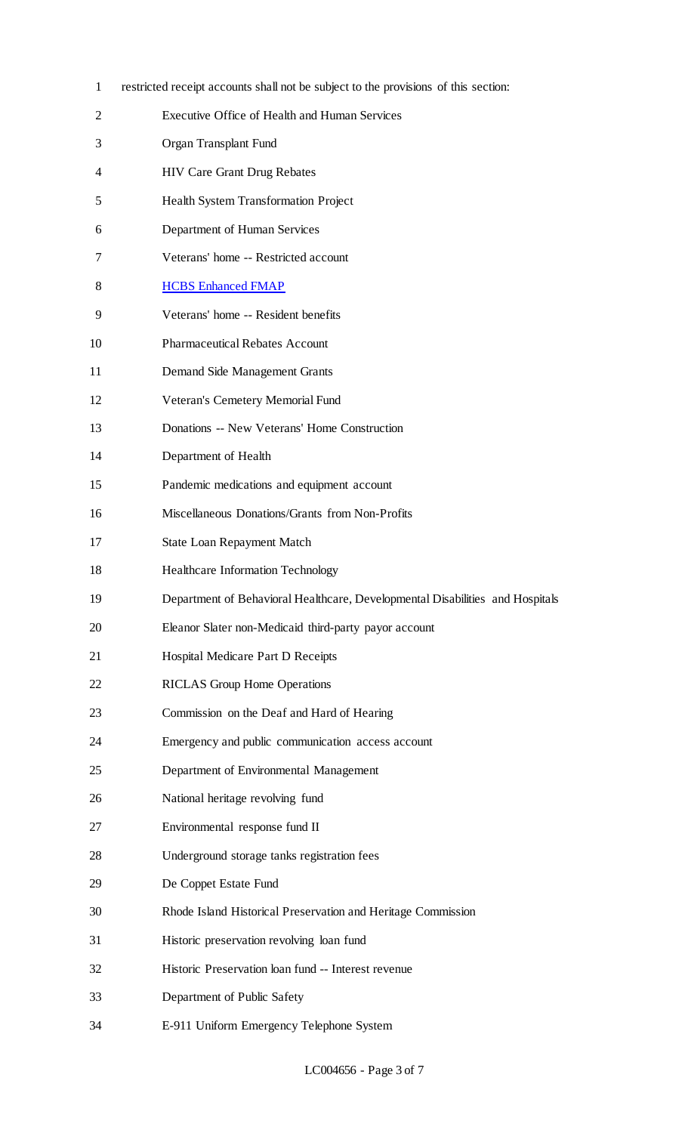| $\mathbf{1}$ | restricted receipt accounts shall not be subject to the provisions of this section: |
|--------------|-------------------------------------------------------------------------------------|
| 2            | Executive Office of Health and Human Services                                       |
| 3            | Organ Transplant Fund                                                               |
| 4            | <b>HIV Care Grant Drug Rebates</b>                                                  |
| 5            | Health System Transformation Project                                                |
| 6            | Department of Human Services                                                        |
| 7            | Veterans' home -- Restricted account                                                |
| 8            | <b>HCBS Enhanced FMAP</b>                                                           |
| 9            | Veterans' home -- Resident benefits                                                 |
| 10           | <b>Pharmaceutical Rebates Account</b>                                               |
| 11           | Demand Side Management Grants                                                       |
| 12           | Veteran's Cemetery Memorial Fund                                                    |
| 13           | Donations -- New Veterans' Home Construction                                        |
| 14           | Department of Health                                                                |
| 15           | Pandemic medications and equipment account                                          |
| 16           | Miscellaneous Donations/Grants from Non-Profits                                     |
| 17           | <b>State Loan Repayment Match</b>                                                   |
| 18           | Healthcare Information Technology                                                   |
| 19           | Department of Behavioral Healthcare, Developmental Disabilities and Hospitals       |
| 20           | Eleanor Slater non-Medicaid third-party payor account                               |
| 21           | Hospital Medicare Part D Receipts                                                   |
| 22           | <b>RICLAS</b> Group Home Operations                                                 |
| 23           | Commission on the Deaf and Hard of Hearing                                          |
| 24           | Emergency and public communication access account                                   |
| 25           | Department of Environmental Management                                              |
| 26           | National heritage revolving fund                                                    |
| 27           | Environmental response fund II                                                      |
| 28           | Underground storage tanks registration fees                                         |
| 29           | De Coppet Estate Fund                                                               |
| 30           | Rhode Island Historical Preservation and Heritage Commission                        |
| 31           | Historic preservation revolving loan fund                                           |
| 32           | Historic Preservation loan fund -- Interest revenue                                 |
| 33           | Department of Public Safety                                                         |
| 34           | E-911 Uniform Emergency Telephone System                                            |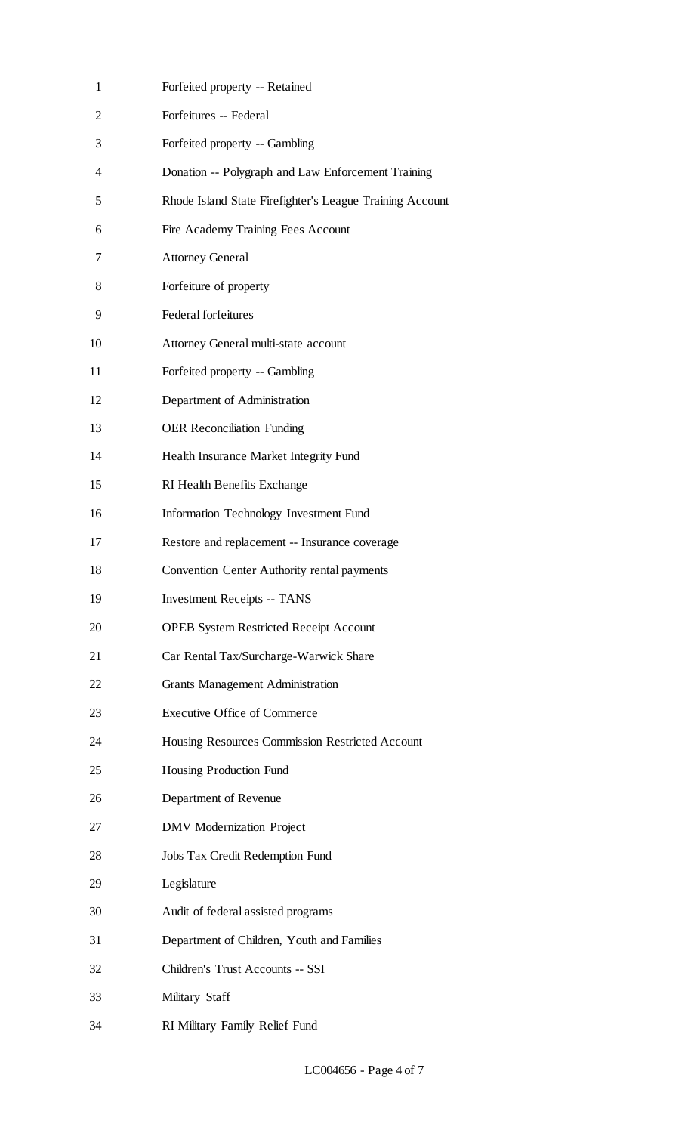| $\mathbf{1}$ | Forfeited property -- Retained                           |
|--------------|----------------------------------------------------------|
| 2            | Forfeitures -- Federal                                   |
| 3            | Forfeited property -- Gambling                           |
| 4            | Donation -- Polygraph and Law Enforcement Training       |
| 5            | Rhode Island State Firefighter's League Training Account |
| 6            | Fire Academy Training Fees Account                       |
| 7            | <b>Attorney General</b>                                  |
| 8            | Forfeiture of property                                   |
| 9            | <b>Federal forfeitures</b>                               |
| 10           | Attorney General multi-state account                     |
| 11           | Forfeited property -- Gambling                           |
| 12           | Department of Administration                             |
| 13           | <b>OER Reconciliation Funding</b>                        |
| 14           | Health Insurance Market Integrity Fund                   |
| 15           | RI Health Benefits Exchange                              |
| 16           | <b>Information Technology Investment Fund</b>            |
| 17           | Restore and replacement -- Insurance coverage            |
| 18           | Convention Center Authority rental payments              |
| 19           | <b>Investment Receipts -- TANS</b>                       |
| 20           | <b>OPEB System Restricted Receipt Account</b>            |
| 21           | Car Rental Tax/Surcharge-Warwick Share                   |
| 22           | <b>Grants Management Administration</b>                  |
| 23           | <b>Executive Office of Commerce</b>                      |
| 24           | Housing Resources Commission Restricted Account          |
| 25           | Housing Production Fund                                  |
| 26           | Department of Revenue                                    |
| 27           | <b>DMV</b> Modernization Project                         |
| 28           | Jobs Tax Credit Redemption Fund                          |
| 29           | Legislature                                              |
| 30           | Audit of federal assisted programs                       |
| 31           | Department of Children, Youth and Families               |
| 32           | Children's Trust Accounts -- SSI                         |
| 33           | Military Staff                                           |
| 34           | RI Military Family Relief Fund                           |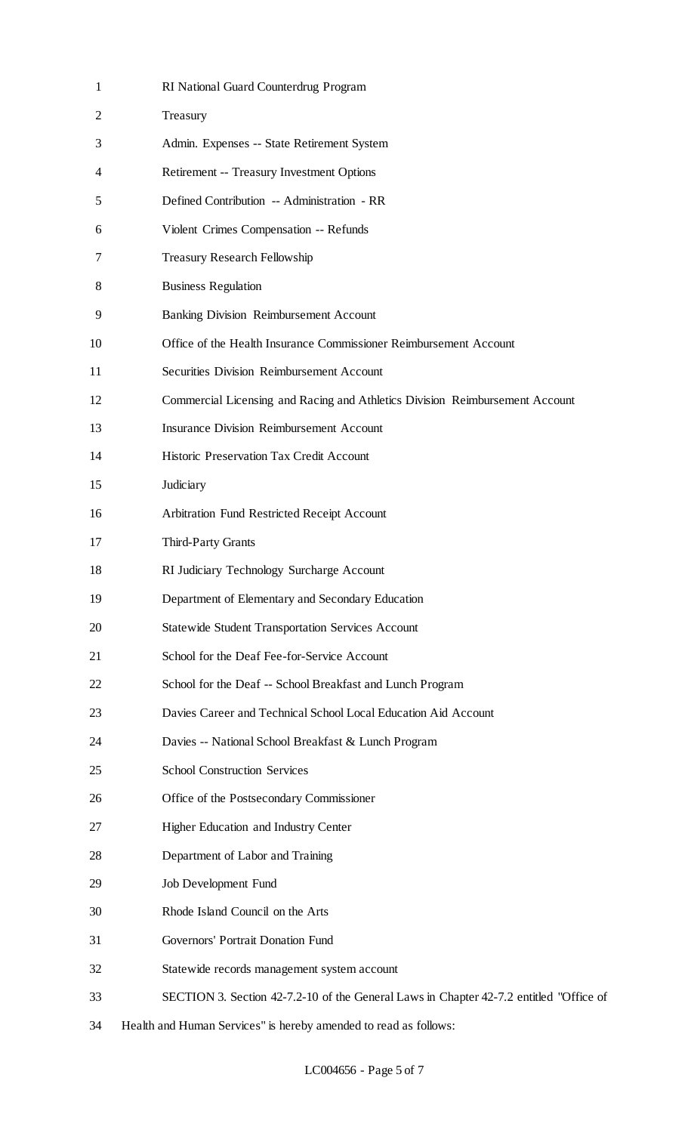| $\mathbf{1}$ | RI National Guard Counterdrug Program                                                  |
|--------------|----------------------------------------------------------------------------------------|
| 2            | Treasury                                                                               |
| 3            | Admin. Expenses -- State Retirement System                                             |
| 4            | Retirement -- Treasury Investment Options                                              |
| 5            | Defined Contribution -- Administration - RR                                            |
| 6            | Violent Crimes Compensation -- Refunds                                                 |
| 7            | <b>Treasury Research Fellowship</b>                                                    |
| 8            | <b>Business Regulation</b>                                                             |
| 9            | <b>Banking Division Reimbursement Account</b>                                          |
| 10           | Office of the Health Insurance Commissioner Reimbursement Account                      |
| 11           | <b>Securities Division Reimbursement Account</b>                                       |
| 12           | Commercial Licensing and Racing and Athletics Division Reimbursement Account           |
| 13           | <b>Insurance Division Reimbursement Account</b>                                        |
| 14           | Historic Preservation Tax Credit Account                                               |
| 15           | Judiciary                                                                              |
| 16           | Arbitration Fund Restricted Receipt Account                                            |
| 17           | Third-Party Grants                                                                     |
| 18           | RI Judiciary Technology Surcharge Account                                              |
| 19           | Department of Elementary and Secondary Education                                       |
| 20           | <b>Statewide Student Transportation Services Account</b>                               |
| 21           | School for the Deaf Fee-for-Service Account                                            |
| 22           | School for the Deaf -- School Breakfast and Lunch Program                              |
| 23           | Davies Career and Technical School Local Education Aid Account                         |
| 24           | Davies -- National School Breakfast & Lunch Program                                    |
| 25           | <b>School Construction Services</b>                                                    |
| 26           | Office of the Postsecondary Commissioner                                               |
| 27           | Higher Education and Industry Center                                                   |
| 28           | Department of Labor and Training                                                       |
| 29           | Job Development Fund                                                                   |
| 30           | Rhode Island Council on the Arts                                                       |
| 31           | Governors' Portrait Donation Fund                                                      |
| 32           | Statewide records management system account                                            |
| 33           | SECTION 3. Section 42-7.2-10 of the General Laws in Chapter 42-7.2 entitled "Office of |
| 34           | Health and Human Services" is hereby amended to read as follows:                       |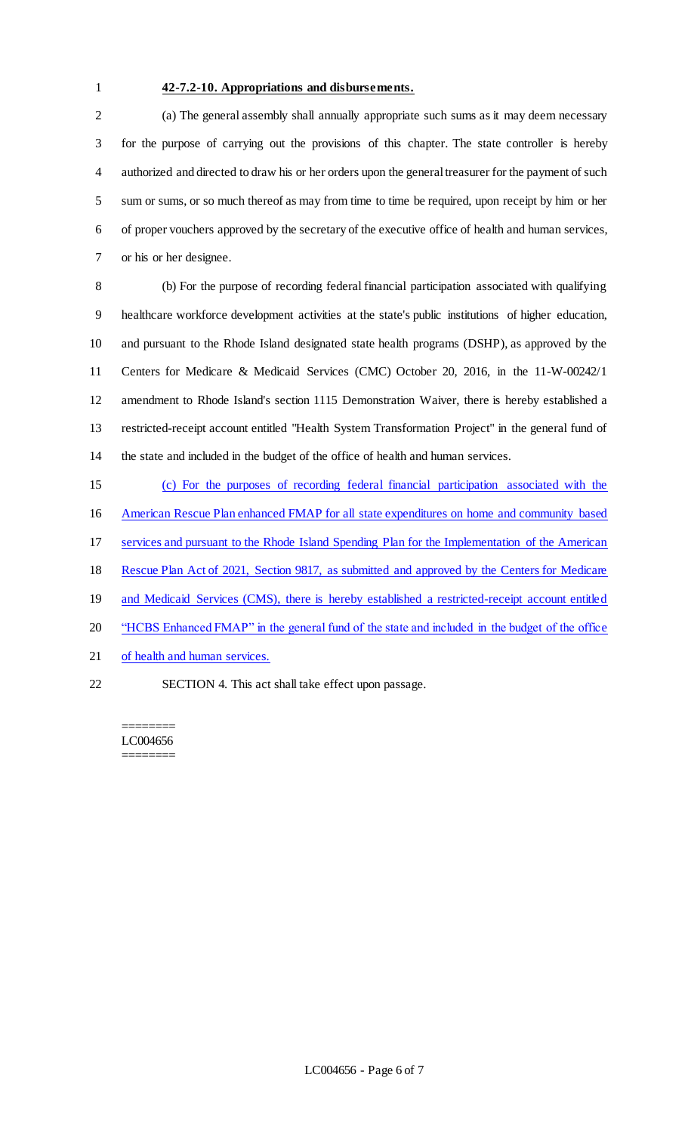#### **42-7.2-10. Appropriations and disbursements.**

 (a) The general assembly shall annually appropriate such sums as it may deem necessary for the purpose of carrying out the provisions of this chapter. The state controller is hereby authorized and directed to draw his or her orders upon the general treasurer for the payment of such sum or sums, or so much thereof as may from time to time be required, upon receipt by him or her of proper vouchers approved by the secretary of the executive office of health and human services, or his or her designee.

 (b) For the purpose of recording federal financial participation associated with qualifying healthcare workforce development activities at the state's public institutions of higher education, and pursuant to the Rhode Island designated state health programs (DSHP), as approved by the Centers for Medicare & Medicaid Services (CMC) October 20, 2016, in the 11-W-00242/1 amendment to Rhode Island's section 1115 Demonstration Waiver, there is hereby established a restricted-receipt account entitled "Health System Transformation Project" in the general fund of the state and included in the budget of the office of health and human services.

 (c) For the purposes of recording federal financial participation associated with the American Rescue Plan enhanced FMAP for all state expenditures on home and community based services and pursuant to the Rhode Island Spending Plan for the Implementation of the American Rescue Plan Act of 2021, Section 9817, as submitted and approved by the Centers for Medicare 19 and Medicaid Services (CMS), there is hereby established a restricted-receipt account entitled "HCBS Enhanced FMAP" in the general fund of the state and included in the budget of the office of health and human services.

SECTION 4. This act shall take effect upon passage.

======== LC004656 ========